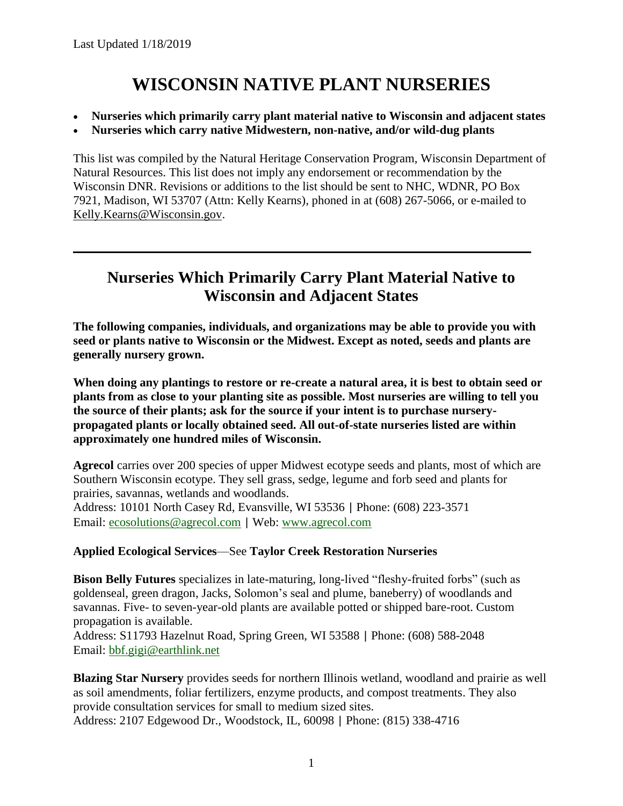# **WISCONSIN NATIVE PLANT NURSERIES**

- **Nurseries which primarily carry plant material native to Wisconsin and adjacent states**
- **Nurseries which carry native Midwestern, non-native, and/or wild-dug plants**

This list was compiled by the Natural Heritage Conservation Program, Wisconsin Department of Natural Resources. This list does not imply any endorsement or recommendation by the Wisconsin DNR. Revisions or additions to the list should be sent to NHC, WDNR, PO Box 7921, Madison, WI 53707 (Attn: Kelly Kearns), phoned in at (608) 267-5066, or e-mailed to [Kelly.Kearns@Wisconsin.gov.](mailto:Kelly.Kearns@Wisconsin.gov)

### **Nurseries Which Primarily Carry Plant Material Native to Wisconsin and Adjacent States**

**The following companies, individuals, and organizations may be able to provide you with seed or plants native to Wisconsin or the Midwest. Except as noted, seeds and plants are generally nursery grown.** 

**When doing any plantings to restore or re-create a natural area, it is best to obtain seed or plants from as close to your planting site as possible. Most nurseries are willing to tell you the source of their plants; ask for the source if your intent is to purchase nurserypropagated plants or locally obtained seed. All out-of-state nurseries listed are within approximately one hundred miles of Wisconsin.** 

**Agrecol** carries over 200 species of upper Midwest ecotype seeds and plants, most of which are Southern Wisconsin ecotype. They sell grass, sedge, legume and forb seed and plants for prairies, savannas, wetlands and woodlands. Address: 10101 North Casey Rd, Evansville, WI 53536 | Phone: (608) 223-3571 Email: [ecosolutions@agrecol.com](mailto:ecosolutions@agrecol.com) | Web: [www.agrecol.com](http://www.agrecol.com/)

### **Applied Ecological Services**—See **Taylor Creek Restoration Nurseries**

**Bison Belly Futures** specializes in late-maturing, long-lived "fleshy-fruited forbs" (such as goldenseal, green dragon, Jacks, Solomon's seal and plume, baneberry) of woodlands and savannas. Five- to seven-year-old plants are available potted or shipped bare-root. Custom propagation is available.

Address: S11793 Hazelnut Road, Spring Green, WI 53588 | Phone: (608) 588-2048 Email: [bbf.gigi@earthlink.net](mailto:bbf.gigi@earthlink.net)

**Blazing Star Nursery** provides seeds for northern Illinois wetland, woodland and prairie as well as soil amendments, foliar fertilizers, enzyme products, and compost treatments. They also provide consultation services for small to medium sized sites.

Address: 2107 Edgewood Dr., Woodstock, IL, 60098 | Phone: (815) 338-4716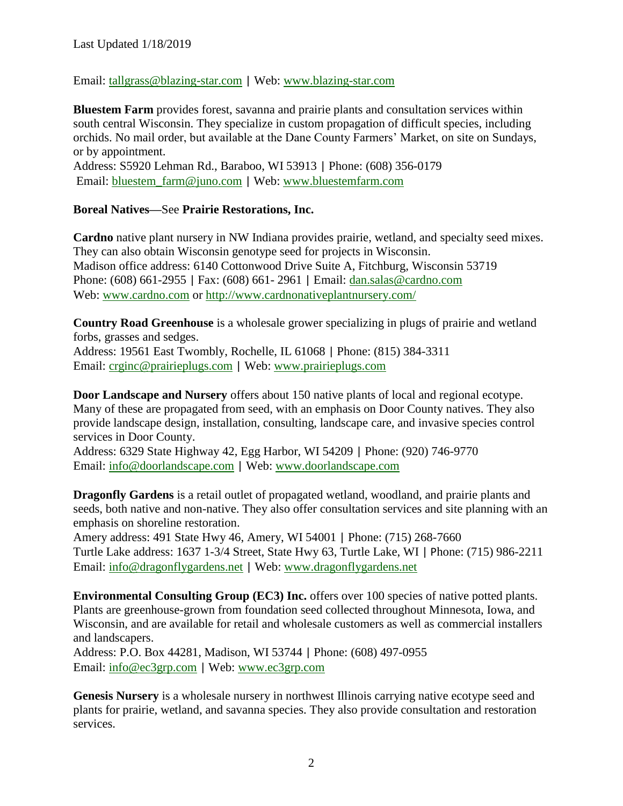Email: [tallgrass@blazing-star.com](mailto:tallgrass@blazing-star.com) | Web: [www.blazing-star.com](http://www.blazing-star.com/)

**Bluestem Farm** provides forest, savanna and prairie plants and consultation services within south central Wisconsin. They specialize in custom propagation of difficult species, including orchids. No mail order, but available at the Dane County Farmers' Market, on site on Sundays, or by appointment.

Address: S5920 Lehman Rd., Baraboo, WI 53913 | Phone: (608) 356-0179 Email: [bluestem\\_farm@juno.com](mailto:bluestem_farm@juno.com) | Web: [www.bluestemfarm.com](http://www.bluestemfarm.com/)

#### **Boreal Natives—**See **Prairie Restorations, Inc.**

**Cardno** native plant nursery in NW Indiana provides prairie, wetland, and specialty seed mixes. They can also obtain Wisconsin genotype seed for projects in Wisconsin. Madison office address: 6140 Cottonwood Drive Suite A, Fitchburg, Wisconsin 53719 Phone: (608) 661-2955 | Fax: (608) 661- 2961 | Email: [dan.salas@cardno.com](mailto:dan.salas@cardno.com) Web: [www.cardno.com](http://www.cardno.com/) or<http://www.cardnonativeplantnursery.com/>

**Country Road Greenhouse** is a wholesale grower specializing in plugs of prairie and wetland forbs, grasses and sedges.

Address: 19561 East Twombly, Rochelle, IL 61068 | Phone: (815) 384-3311 Email: [crginc@prairieplugs.com](mailto:crginc@prairieplugs.com) | Web: [www.prairieplugs.com](http://www.prairieplugs.com/)

**Door Landscape and Nursery** offers about 150 native plants of local and regional ecotype. Many of these are propagated from seed, with an emphasis on Door County natives. They also provide landscape design, installation, consulting, landscape care, and invasive species control services in Door County.

Address: 6329 State Highway 42, Egg Harbor, WI 54209 | Phone: (920) 746-9770 Email: [info@doorlandscape.com](mailto:info@doorlandscape.com) | Web: [www.doorlandscape.com](http://www.doorlandscape.com/)

**Dragonfly Gardens** is a retail outlet of propagated wetland, woodland, and prairie plants and seeds, both native and non-native. They also offer consultation services and site planning with an emphasis on shoreline restoration.

Amery address: 491 State Hwy 46, Amery, WI 54001 | Phone: (715) 268-7660 Turtle Lake address: 1637 1-3/4 Street, State Hwy 63, Turtle Lake, WI | Phone: (715) 986-2211 Email: [info@dragonflygardens.net](mailto:info@dragonflygardens.net) | Web: [www.dragonflygardens.net](http://www.dragonflygardens.net/)

**Environmental Consulting Group (EC3) Inc.** offers over 100 species of native potted plants. Plants are greenhouse-grown from foundation seed collected throughout Minnesota, Iowa, and Wisconsin, and are available for retail and wholesale customers as well as commercial installers and landscapers.

Address: P.O. Box 44281, Madison, WI 53744 | Phone: (608) 497-0955 Email: [info@ec3grp.com](mailto:info@ec3grp.com) | Web: [www.ec3grp.com](http://www.ec3grp.com/)

**Genesis Nursery** is a wholesale nursery in northwest Illinois carrying native ecotype seed and plants for prairie, wetland, and savanna species. They also provide consultation and restoration services.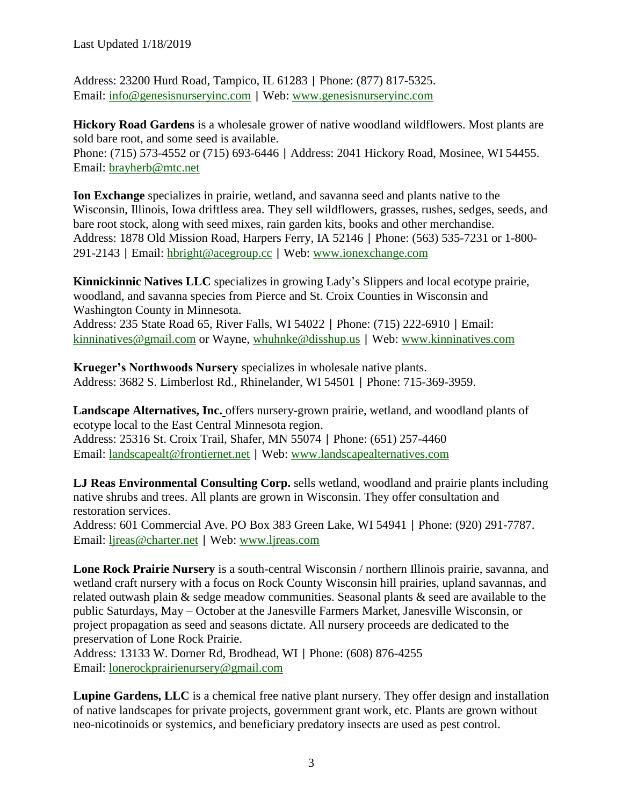Last Updated 1/18/2019

Address: 23200 Hurd Road, Tampico, IL 61283 | Phone: (877) 817-5325. Email: [info@genesisnurseryinc.com](mailto:info@genesisnurseryinc.com) | Web: [www.genesisnurseryinc.com](http://www.genesisnurseryinc.com/)

**Hickory Road Gardens** is a wholesale grower of native woodland wildflowers. Most plants are sold bare root, and some seed is available.

Phone: (715) 573-4552 or (715) 693-6446 | Address: 2041 Hickory Road, Mosinee, WI 54455. Email: [brayherb@mtc.net](mailto:brayherb@mtc.net)

**Ion Exchange** specializes in prairie, wetland, and savanna seed and plants native to the Wisconsin, Illinois, Iowa driftless area. They sell wildflowers, grasses, rushes, sedges, seeds, and bare root stock, along with seed mixes, rain garden kits, books and other merchandise. Address: 1878 Old Mission Road, Harpers Ferry, IA 52146 | Phone: (563) 535-7231 or 1-800- 291-2143 | Email: [hbright@acegroup.cc](mailto:hbright@acegroup.cc) | Web: [www.ionexchange.com](http://www.ionexchange.com/)

**Kinnickinnic Natives LLC** specializes in growing Lady's Slippers and local ecotype prairie, woodland, and savanna species from Pierce and St. Croix Counties in Wisconsin and Washington County in Minnesota.

Address: 235 State Road 65, River Falls, WI 54022 | Phone: (715) 222-6910 | Email: [kinninatives@gmail.com](mailto:kinninatives@gmail.com) or Wayne, [whuhnke@disshup.us](mailto:whuhnke@disshup.us) | Web: [www.kinninatives.com](http://www.kinninatives.com/)

**Krueger's Northwoods Nursery** specializes in wholesale native plants. Address: 3682 S. Limberlost Rd., Rhinelander, WI 54501 | Phone: 715-369-3959.

**Landscape Alternatives, Inc.** offers nursery-grown prairie, wetland, and woodland plants of ecotype local to the East Central Minnesota region. Address: 25316 St. Croix Trail, Shafer, MN 55074 | Phone: (651) 257-4460

Email: [landscapealt@frontiernet.net](mailto:landscapealt@frontiernet.net) | Web: [www.landscapealternatives.com](http://www.landscapealternatives.com/)

**LJ Reas Environmental Consulting Corp.** sells wetland, woodland and prairie plants including native shrubs and trees. All plants are grown in Wisconsin. They offer consultation and restoration services.

Address: 601 Commercial Ave. PO Box 383 Green Lake, WI 54941 | Phone: (920) 291-7787. Email: [ljreas@charter.net](mailto:ljreas@charter.net) | Web: [www.ljreas.com](http://www.ljreas.com/)

**Lone Rock Prairie Nursery** is a south-central Wisconsin / northern Illinois prairie, savanna, and wetland craft nursery with a focus on Rock County Wisconsin hill prairies, upland savannas, and related outwash plain & sedge meadow communities. Seasonal plants & seed are available to the public Saturdays, May – October at the Janesville Farmers Market, Janesville Wisconsin, or project propagation as seed and seasons dictate. All nursery proceeds are dedicated to the preservation of Lone Rock Prairie.

Address: 13133 W. Dorner Rd, Brodhead, WI | Phone: (608) 876-4255 Email: [lonerockprairienursery@gmail.com](mailto:lonerockprairienursery@gmail.com)

**Lupine Gardens, LLC** is a chemical free native plant nursery. They offer design and installation of native landscapes for private projects, government grant work, etc. Plants are grown without neo-nicotinoids or systemics, and beneficiary predatory insects are used as pest control.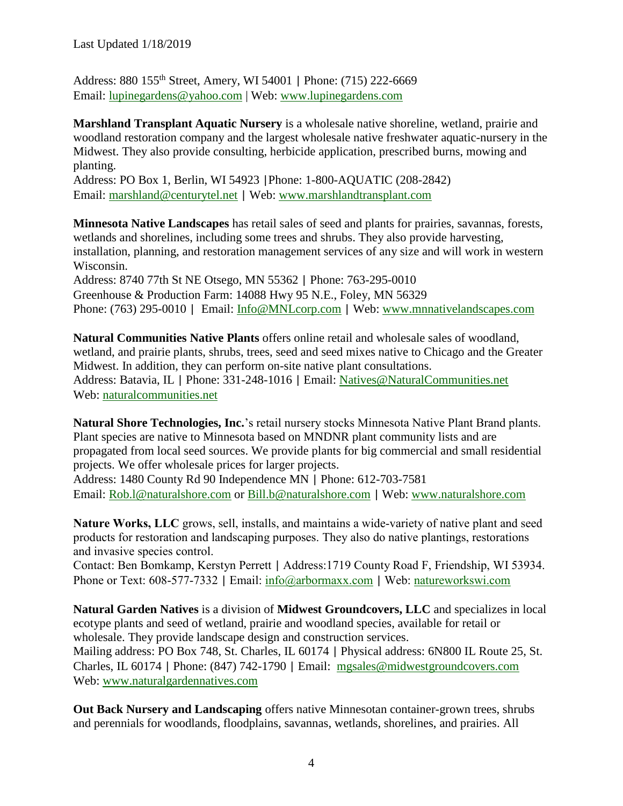Address: 880 155th Street, Amery, WI 54001 | Phone: (715) 222-6669 Email: [lupinegardens@yahoo.com](mailto:lupinegardens@yahoo.com) | Web: [www.lupinegardens.com](http://www.lupinegardens.com/)

**Marshland Transplant Aquatic Nursery** is a wholesale native shoreline, wetland, prairie and woodland restoration company and the largest wholesale native freshwater aquatic-nursery in the Midwest. They also provide consulting, herbicide application, prescribed burns, mowing and planting.

Address: PO Box 1, Berlin, WI 54923 |Phone: 1-800-AQUATIC (208-2842) Email: [marshland@centurytel.net](mailto:marshland@centurytel.net) | Web: [www.marshlandtransplant.com](http://www.marshlandtransplant.com/)

**Minnesota Native Landscapes** has retail sales of seed and plants for prairies, savannas, forests, wetlands and shorelines, including some trees and shrubs. They also provide harvesting, installation, planning, and restoration management services of any size and will work in western Wisconsin. Address: 8740 77th St NE Otsego, MN 55362 | Phone: 763-295-0010 Greenhouse & Production Farm: 14088 Hwy 95 N.E., Foley, MN 56329

Phone: (763) 295-0010 | Email: [Info@MNLcorp.com](mailto:Info@MNLcorp.com) | Web: [www.mnnativelandscapes.com](http://www.mnnativelandscapes.com/)

**Natural Communities Native Plants** offers online retail and wholesale sales of woodland, wetland, and prairie plants, shrubs, trees, seed and seed mixes native to Chicago and the Greater Midwest. In addition, they can perform on-site native plant consultations. Address: Batavia, IL | Phone: 331-248-1016 | Email: [Natives@NaturalCommunities.net](mailto:Natives@NaturalCommunities.net) Web: [naturalcommunities.net](https://naturalcommunities.net/)

**Natural Shore Technologies, Inc.**'s retail nursery stocks Minnesota Native Plant Brand plants. Plant species are native to Minnesota based on MNDNR plant community lists and are propagated from local seed sources. We provide plants for big commercial and small residential projects. We offer wholesale prices for larger projects.

Address: 1480 County Rd 90 Independence MN | Phone: 612-703-7581 Email: [Rob.l@naturalshore.com](mailto:Rob.l@naturalshore.com) or [Bill.b@naturalshore.com](mailto:Bill.b@naturalshore.com) | Web: [www.naturalshore.com](http://www.naturalshore.com/)

**Nature Works, LLC** grows, sell, installs, and maintains a wide-variety of native plant and seed products for restoration and landscaping purposes. They also do native plantings, restorations and invasive species control.

Contact: Ben Bomkamp, Kerstyn Perrett | Address:1719 County Road F, Friendship, WI 53934. Phone or Text: 608-577-7332 | Email: [info@arbormaxx.com](mailto:info@arbormaxx.com) | Web: [natureworkswi.com](https://natureworkswi.com/)

**Natural Garden Natives** is a division of **Midwest Groundcovers, LLC** and specializes in local ecotype plants and seed of wetland, prairie and woodland species, available for retail or wholesale. They provide landscape design and construction services. Mailing address: PO Box 748, St. Charles, IL 60174 | Physical address: 6N800 IL Route 25, St. Charles, IL 60174 | Phone: (847) 742-1790 | Email: [mgsales@midwestgroundcovers.com](mailto:mgsales@midwestgroundcovers.com) Web: [www.naturalgardennatives.com](http://www.naturalgardennatives.com/)

**Out Back Nursery and Landscaping** offers native Minnesotan container-grown trees, shrubs and perennials for woodlands, floodplains, savannas, wetlands, shorelines, and prairies. All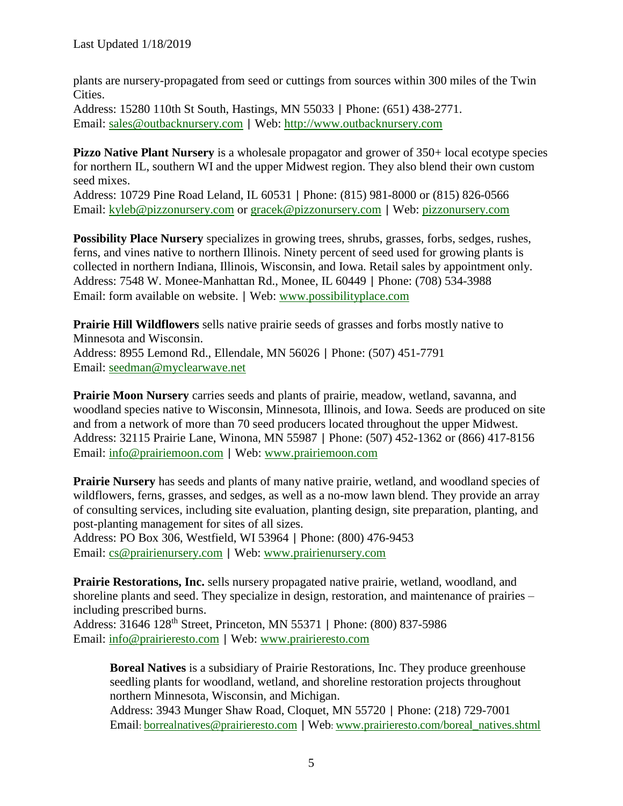plants are nursery-propagated from seed or cuttings from sources within 300 miles of the Twin Cities.

Address: 15280 110th St South, Hastings, MN 55033 | Phone: (651) 438-2771. Email: [sales@outbacknursery.com](mailto:sales@outbacknursery.com) | Web: [http://www.outbacknursery.com](http://www.outbacknursery.com/)

**Pizzo Native Plant Nursery** is a wholesale propagator and grower of 350+ local ecotype species for northern IL, southern WI and the upper Midwest region. They also blend their own custom seed mixes.

Address: 10729 Pine Road Leland, IL 60531 | Phone: (815) 981-8000 or (815) 826-0566 Email: [kyleb@pizzonursery.com](mailto:kyleb@pizzonursery.com) or [gracek@pizzonursery.com](mailto:gracek@pizzonursery.com) | Web: [pizzonursery.com](http://pizzonursery.com/)

**Possibility Place Nursery** specializes in growing trees, shrubs, grasses, forbs, sedges, rushes, ferns, and vines native to northern Illinois. Ninety percent of seed used for growing plants is collected in northern Indiana, Illinois, Wisconsin, and Iowa. Retail sales by appointment only. Address: 7548 W. Monee-Manhattan Rd., Monee, IL 60449 | Phone: (708) 534-3988 Email: form available on website. | Web: [www.possibilityplace.com](http://www.possibilityplace.com/)

**Prairie Hill Wildflowers** sells native prairie seeds of grasses and forbs mostly native to Minnesota and Wisconsin. Address: 8955 Lemond Rd., Ellendale, MN 56026 | Phone: (507) 451-7791 Email: [seedman@myclearwave.net](mailto:seedman@myclearwave.net)

**Prairie Moon Nursery** carries seeds and plants of prairie, meadow, wetland, savanna, and woodland species native to Wisconsin, Minnesota, Illinois, and Iowa. Seeds are produced on site and from a network of more than 70 seed producers located throughout the upper Midwest. Address: 32115 Prairie Lane, Winona, MN 55987 | Phone: (507) 452-1362 or (866) 417-8156 Email: [info@prairiemoon.com](mailto:info@prairiemoon.com) | Web: [www.prairiemoon.com](http://www.prairiemoon.com/)

**Prairie Nursery** has seeds and plants of many native prairie, wetland, and woodland species of wildflowers, ferns, grasses, and sedges, as well as a no-mow lawn blend. They provide an array of consulting services, including site evaluation, planting design, site preparation, planting, and post-planting management for sites of all sizes.

Address: PO Box 306, Westfield, WI 53964 | Phone: (800) 476-9453 Email: [cs@prairienursery.com](mailto:cs@prairienursery.com) | Web: [www.prairienursery.com](http://www.prairienursery.com/)

**Prairie Restorations, Inc.** sells nursery propagated native prairie, wetland, woodland, and shoreline plants and seed. They specialize in design, restoration, and maintenance of prairies – including prescribed burns.

Address: 31646 128th Street, Princeton, MN 55371 | Phone: (800) 837-5986 Email: [info@prairieresto.com](mailto:info@prairieresto.com) | Web: [www.prairieresto.com](http://www.prairieresto.com/)

**Boreal Natives** is a subsidiary of Prairie Restorations, Inc. They produce greenhouse seedling plants for woodland, wetland, and shoreline restoration projects throughout northern Minnesota, Wisconsin, and Michigan. Address: 3943 Munger Shaw Road, Cloquet, MN 55720 | Phone: (218) 729-7001 Email: [borrealnatives@prairieresto.com](mailto:borrealnatives@prairieresto.com) | Web: [www.prairieresto.com/boreal\\_natives.shtml](http://www.prairieresto.com/boreal_natives.shtml)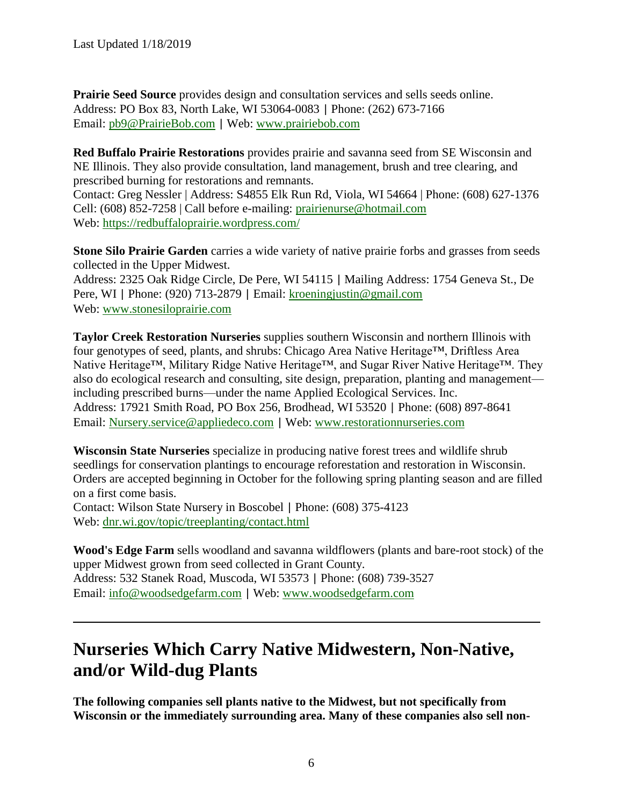**Prairie Seed Source** provides design and consultation services and sells seeds online. Address: PO Box 83, North Lake, WI 53064-0083 | Phone: (262) 673-7166 Email: [pb9@PrairieBob.com](mailto:pb9@PrairieBob.com) | Web: [www.prairiebob.com](http://www.prairiebob.com/)

**Red Buffalo Prairie Restorations** provides prairie and savanna seed from SE Wisconsin and NE Illinois. They also provide consultation, land management, brush and tree clearing, and prescribed burning for restorations and remnants.

Contact: Greg Nessler | Address: S4855 Elk Run Rd, Viola, WI 54664 | Phone: (608) 627-1376 Cell: (608) 852-7258 | Call before e-mailing: [prairienurse@hotmail.com](mailto:prairienurse@hotmail.com) Web:<https://redbuffaloprairie.wordpress.com/>

**Stone Silo Prairie Garden** carries a wide variety of native prairie forbs and grasses from seeds collected in the Upper Midwest.

Address: 2325 Oak Ridge Circle, De Pere, WI 54115 | Mailing Address: 1754 Geneva St., De Pere, WI | Phone: (920) 713-2879 | Email: [kroeningjustin@gmail.com](mailto:kroeningjustin@gmail.com) Web: [www.stonesiloprairie.com](http://www.stonesiloprairie.com/)

**Taylor Creek Restoration Nurseries** supplies southern Wisconsin and northern Illinois with four genotypes of seed, plants, and shrubs: Chicago Area Native Heritage™, Driftless Area Native Heritage™, Military Ridge Native Heritage™, and Sugar River Native Heritage™. They also do ecological research and consulting, site design, preparation, planting and management including prescribed burns—under the name Applied Ecological Services. Inc. Address: 17921 Smith Road, PO Box 256, Brodhead, WI 53520 | Phone: (608) 897-8641 Email: [Nursery.service@appliedeco.com](mailto:Nursery.service@appliedeco.com) | Web: [www.restorationnurseries.com](http://www.restorationnurseries.com/)

**Wisconsin State Nurseries** specialize in producing native forest trees and wildlife shrub seedlings for conservation plantings to encourage reforestation and restoration in Wisconsin. Orders are accepted beginning in October for the following spring planting season and are filled on a first come basis.

Contact: Wilson State Nursery in Boscobel | Phone: (608) 375-4123 Web: [dnr.wi.gov/topic/treeplanting/contact.html](https://dnr.wi.gov/topic/treeplanting/contact.html)

**Wood's Edge Farm** sells woodland and savanna wildflowers (plants and bare-root stock) of the upper Midwest grown from seed collected in Grant County. Address: 532 Stanek Road, Muscoda, WI 53573 | Phone: (608) 739-3527 Email: [info@woodsedgefarm.com](mailto:info@woodsedgefarm.com) | Web: [www.woodsedgefarm.com](http://www.woodsedgefarm.com/)

# **Nurseries Which Carry Native Midwestern, Non-Native, and/or Wild-dug Plants**

**The following companies sell plants native to the Midwest, but not specifically from Wisconsin or the immediately surrounding area. Many of these companies also sell non-**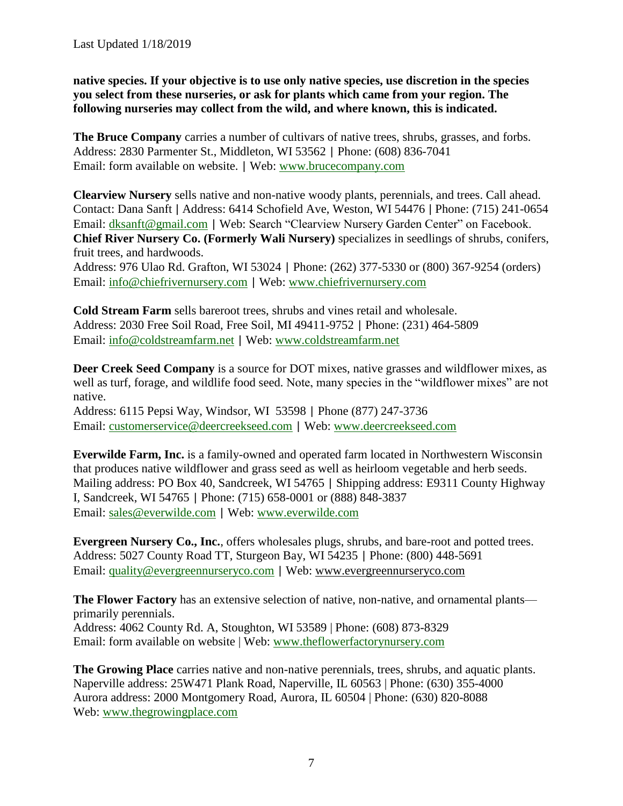**native species. If your objective is to use only native species, use discretion in the species you select from these nurseries, or ask for plants which came from your region. The following nurseries may collect from the wild, and where known, this is indicated.**

**The Bruce Company** carries a number of cultivars of native trees, shrubs, grasses, and forbs. Address: 2830 Parmenter St., Middleton, WI 53562 | Phone: (608) 836-7041 Email: form available on website. | Web: [www.brucecompany.com](http://www.brucecompany.com/)

**Clearview Nursery** sells native and non-native woody plants, perennials, and trees. Call ahead. Contact: Dana Sanft | Address: 6414 Schofield Ave, Weston, WI 54476 | Phone: (715) 241-0654 Email: [dksanft@gmail.com](mailto:dksanft@gmail.com) | Web: Search "Clearview Nursery Garden Center" on Facebook. **Chief River Nursery Co. (Formerly Wali Nursery)** specializes in seedlings of shrubs, conifers, fruit trees, and hardwoods.

Address: 976 Ulao Rd. Grafton, WI 53024 | Phone: (262) 377-5330 or (800) 367-9254 (orders) Email: [info@chiefrivernursery.com](mailto:info@chiefrivernursery.com) | Web: [www.chiefrivernursery.com](http://www.chiefrivernursery.com/)

**Cold Stream Farm** sells bareroot trees, shrubs and vines retail and wholesale. Address: 2030 Free Soil Road, Free Soil, MI 49411-9752 | Phone: (231) 464-5809 Email: [info@coldstreamfarm.net](mailto:info@coldstreamfarm.net) | Web: [www.coldstreamfarm.net](http://www.coldstreamfarm.net/)

**Deer Creek Seed Company** is a source for DOT mixes, native grasses and wildflower mixes, as well as turf, forage, and wildlife food seed. Note, many species in the "wildflower mixes" are not native.

Address: 6115 Pepsi Way, Windsor, WI 53598 | Phone (877) 247-3736 Email: [customerservice@deercreekseed.com](mailto:customerservice@deercreekseed.com) | Web: [www.deercreekseed.com](http://www.deercreekseed.com/)

**Everwilde Farm, Inc.** is a family-owned and operated farm located in Northwestern Wisconsin that produces native wildflower and grass seed as well as heirloom vegetable and herb seeds. Mailing address: PO Box 40, Sandcreek, WI 54765 | Shipping address: E9311 County Highway I, Sandcreek, WI 54765 | Phone: (715) 658-0001 or (888) 848-3837 Email: [sales@everwilde.com](mailto:sales@everwilde.com) | Web: [www.everwilde.com](http://www.everwilde.com/)

**Evergreen Nursery Co., Inc.**, offers wholesales plugs, shrubs, and bare-root and potted trees. Address: 5027 County Road TT, Sturgeon Bay, WI 54235 | Phone: (800) 448-5691 Email: [quality@evergreennurseryco.com](mailto:quality@evergreennurseryco.com) | Web: [www.evergreennurseryco.com](http://www.evergreennurseryco.com/)

**The Flower Factory** has an extensive selection of native, non-native, and ornamental plants primarily perennials. Address: 4062 County Rd. A, Stoughton, WI 53589 | Phone: (608) 873-8329

Email: form available on website | Web: [www.theflowerfactorynursery.com](http://www.theflowerfactorynursery.com/)

**The Growing Place** carries native and non-native perennials, trees, shrubs, and aquatic plants. Naperville address: 25W471 Plank Road, Naperville, IL 60563 | Phone: (630) 355-4000 Aurora address: 2000 Montgomery Road, Aurora, IL 60504 | Phone: (630) 820-8088 Web: [www.thegrowingplace.com](http://www.thegrowingplace.com/)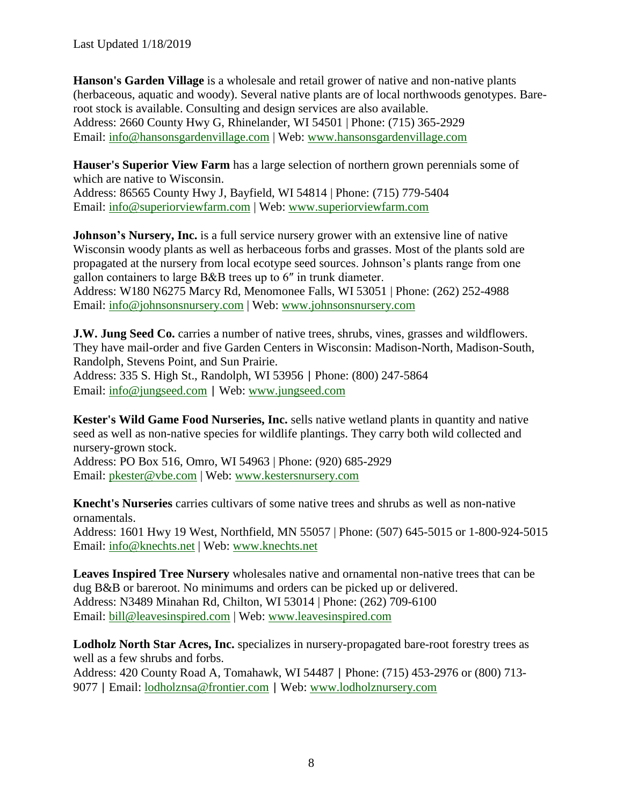Last Updated 1/18/2019

**Hanson's Garden Village** is a wholesale and retail grower of native and non-native plants (herbaceous, aquatic and woody). Several native plants are of local northwoods genotypes. Bareroot stock is available. Consulting and design services are also available. Address: 2660 County Hwy G, Rhinelander, WI 54501 | Phone: (715) 365-2929 Email: [info@hansonsgardenvillage.com](mailto:info@hansonsgardenvillage.com) | Web: [www.hansonsgardenvillage.com](http://www.hansonsgardenvillage.com/)

**Hauser's Superior View Farm** has a large selection of northern grown perennials some of which are native to Wisconsin. Address: 86565 County Hwy J, Bayfield, WI 54814 | Phone: (715) 779-5404 Email: [info@superiorviewfarm.com](mailto:info@superiorviewfarm.com) | Web: [www.superiorviewfarm.com](http://www.superiorviewfarm.com/)

**Johnson's Nursery, Inc.** is a full service nursery grower with an extensive line of native Wisconsin woody plants as well as herbaceous forbs and grasses. Most of the plants sold are propagated at the nursery from local ecotype seed sources. Johnson's plants range from one gallon containers to large B&B trees up to 6″ in trunk diameter. Address: W180 N6275 Marcy Rd, Menomonee Falls, WI 53051 | Phone: (262) 252-4988 Email: [info@johnsonsnursery.com](mailto:info@johnsonsnursery.com) | Web: [www.johnsonsnursery.com](http://www.johnsonsnursery.com/)

**J.W. Jung Seed Co.** carries a number of native trees, shrubs, vines, grasses and wildflowers. They have mail-order and five Garden Centers in Wisconsin: Madison-North, Madison-South, Randolph, Stevens Point, and Sun Prairie.

Address: 335 S. High St., Randolph, WI 53956 | Phone: (800) 247-5864 Email: [info@jungseed.com](mailto:info@jungseed.com) | Web: [www.jungseed.com](http://www.jungseed.com/)

**Kester's Wild Game Food Nurseries, Inc.** sells native wetland plants in quantity and native seed as well as non-native species for wildlife plantings. They carry both wild collected and nursery-grown stock.

Address: PO Box 516, Omro, WI 54963 | Phone: (920) 685-2929 Email: [pkester@vbe.com](mailto:pkester@vbe.com) | Web: [www.kestersnursery.com](http://www.kestersnursery.com/)

**Knecht's Nurseries** carries cultivars of some native trees and shrubs as well as non-native ornamentals. Address: 1601 Hwy 19 West, Northfield, MN 55057 | Phone: (507) 645-5015 or 1-800-924-5015 Email: [info@knechts.net](mailto:info@knechts.net) | Web: [www.knechts.net](http://www.knechts.net/)

**Leaves Inspired Tree Nursery** wholesales native and ornamental non-native trees that can be dug B&B or bareroot. No minimums and orders can be picked up or delivered. Address: N3489 Minahan Rd, Chilton, WI 53014 | Phone: (262) 709-6100 Email: [bill@leavesinspired.com](mailto:bill@leavesinspired.com) | Web: [www.leavesinspired.com](http://www.leavesinspired.com/)

**Lodholz North Star Acres, Inc.** specializes in nursery-propagated bare-root forestry trees as well as a few shrubs and forbs. Address: 420 County Road A, Tomahawk, WI 54487 | Phone: (715) 453-2976 or (800) 713- 9077 | Email: [lodholznsa@frontier.com](mailto:lodholznsa@frontier.com) | Web: [www.lodholznursery.com](http://www.lodholznursery.com/)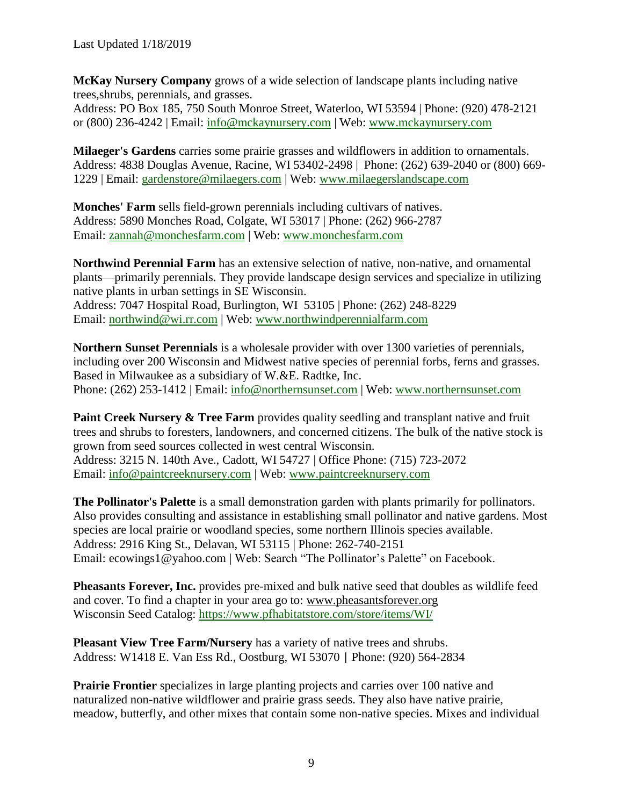**McKay Nursery Company** grows of a wide selection of landscape plants including native trees,shrubs, perennials, and grasses.

Address: PO Box 185, 750 South Monroe Street, Waterloo, WI 53594 | Phone: (920) 478-2121 or (800) 236-4242 | Email: [info@mckaynursery.com](mailto:info@mckaynursery.com) | Web: [www.mckaynursery.com](http://www.mckaynursery.com/)

**Milaeger's Gardens** carries some prairie grasses and wildflowers in addition to ornamentals. Address: 4838 Douglas Avenue, Racine, WI 53402-2498 | Phone: (262) 639-2040 or (800) 669- 1229 | Email: [gardenstore@milaegers.com](mailto:gardenstore@milaegers.com) | Web: [www.milaegerslandscape.com](http://www.milaegerslandscape.com/)

**Monches' Farm** sells field-grown perennials including cultivars of natives. Address: 5890 Monches Road, Colgate, WI 53017 | Phone: (262) 966-2787 Email: [zannah@monchesfarm.com](mailto:zannah@monchesfarm.com) | Web: [www.monchesfarm.com](http://www.monchesfarm.com/)

**Northwind Perennial Farm** has an extensive selection of native, non-native, and ornamental plants—primarily perennials. They provide landscape design services and specialize in utilizing native plants in urban settings in SE Wisconsin. Address: 7047 Hospital Road, Burlington, WI 53105 | Phone: (262) 248-8229 Email: [northwind@wi.rr.com](mailto:northwind@wi.rr.com) | Web: [www.northwindperennialfarm.com](http://www.northwindperennialfarm.com/)

**Northern Sunset Perennials** is a wholesale provider with over 1300 varieties of perennials, including over 200 Wisconsin and Midwest native species of perennial forbs, ferns and grasses. Based in Milwaukee as a subsidiary of W.&E. Radtke, Inc. Phone: (262) 253-1412 | Email: [info@northernsunset.com](mailto:info@northernsunset.com) | Web: [www.northernsunset.com](http://www.northernsunset.com/)

**Paint Creek Nursery & Tree Farm** provides quality seedling and transplant native and fruit trees and shrubs to foresters, landowners, and concerned citizens. The bulk of the native stock is grown from seed sources collected in west central Wisconsin. Address: 3215 N. 140th Ave., Cadott, WI 54727 | Office Phone: (715) 723-2072 Email: [info@paintcreeknursery.com](mailto:info@paintcreeknursery.com) | Web: [www.paintcreeknursery.com](http://www.paintcreeknursery.com/)

**The Pollinator's Palette** is a small demonstration garden with plants primarily for pollinators. Also provides consulting and assistance in establishing small pollinator and native gardens. Most species are local prairie or woodland species, some northern Illinois species available. Address: 2916 King St., Delavan, WI 53115 | Phone: 262-740-2151 Email: ecowings1@yahoo.com | Web: Search "The Pollinator's Palette" on Facebook.

**Pheasants Forever, Inc.** provides pre-mixed and bulk native seed that doubles as wildlife feed and cover. To find a chapter in your area go to: [www.pheasantsforever.org](http://www.pheasantsforever.org/) Wisconsin Seed Catalog:<https://www.pfhabitatstore.com/store/items/WI/>

**Pleasant View Tree Farm/Nursery** has a variety of native trees and shrubs. Address: W1418 E. Van Ess Rd., Oostburg, WI 53070 | Phone: (920) 564-2834

**Prairie Frontier** specializes in large planting projects and carries over 100 native and naturalized non-native wildflower and prairie grass seeds. They also have native prairie, meadow, butterfly, and other mixes that contain some non-native species. Mixes and individual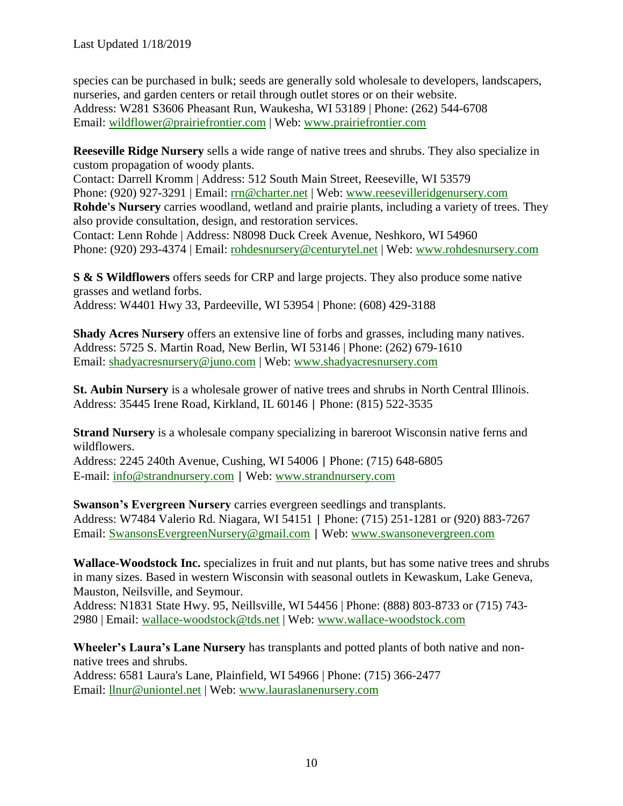Last Updated 1/18/2019

species can be purchased in bulk; seeds are generally sold wholesale to developers, landscapers, nurseries, and garden centers or retail through outlet stores or on their website. Address: W281 S3606 Pheasant Run, Waukesha, WI 53189 | Phone: (262) 544-6708 Email: [wildflower@prairiefrontier.com](mailto:wildflower@prairiefrontier.com) | Web: [www.prairiefrontier.com](http://www.prairiefrontier.com/)

**Reeseville Ridge Nursery** sells a wide range of native trees and shrubs. They also specialize in custom propagation of woody plants.

Contact: Darrell Kromm | Address: 512 South Main Street, Reeseville, WI 53579 Phone: (920) 927-3291 | Email: [rrn@charter.net](mailto:rrn@charter.net) | Web: [www.reesevilleridgenursery.com](http://www.reesevilleridgenursery.com/) **Rohde's Nursery** carries woodland, wetland and prairie plants, including a variety of trees. They also provide consultation, design, and restoration services.

Contact: Lenn Rohde | Address: N8098 Duck Creek Avenue, Neshkoro, WI 54960 Phone: (920) 293-4374 | Email: [rohdesnursery@centurytel.net](mailto:rohdesnursery@centurytel.net) | Web: [www.rohdesnursery.com](http://www.rohdesnursery.com/)

**S & S Wildflowers** offers seeds for CRP and large projects. They also produce some native grasses and wetland forbs. Address: W4401 Hwy 33, Pardeeville, WI 53954 | Phone: (608) 429-3188

**Shady Acres Nursery** offers an extensive line of forbs and grasses, including many natives. Address: 5725 S. Martin Road, New Berlin, WI 53146 | Phone: (262) 679-1610 Email: [shadyacresnursery@juno.com](mailto:shadyacresnursery@juno.com) | Web: [www.shadyacresnursery.com](http://www.shadyacresnursery.com/)

**St. Aubin Nursery** is a wholesale grower of native trees and shrubs in North Central Illinois. Address: 35445 Irene Road, Kirkland, IL 60146 | Phone: (815) 522-3535

**Strand Nursery** is a wholesale company specializing in bareroot Wisconsin native ferns and wildflowers.

Address: 2245 240th Avenue, Cushing, WI 54006 | Phone: (715) 648-6805 E-mail: [info@strandnursery.com](mailto:info@strandnursery.com) | Web: [www.strandnursery.com](http://www.strandnursery.com/)

**Swanson's Evergreen Nursery** carries evergreen seedlings and transplants. Address: W7484 Valerio Rd. Niagara, WI 54151 | Phone: (715) 251-1281 or (920) 883-7267 Email: [SwansonsEvergreenNursery@gmail.com](mailto:SwansonsEvergreenNursery@gmail.com) | Web: [www.swansonevergreen.com](http://www.swansonevergreen.com/)

**Wallace-Woodstock Inc.** specializes in fruit and nut plants, but has some native trees and shrubs in many sizes. Based in western Wisconsin with seasonal outlets in Kewaskum, Lake Geneva, Mauston, Neilsville, and Seymour.

Address: N1831 State Hwy. 95, Neillsville, WI 54456 | Phone: (888) 803-8733 or (715) 743- 2980 | Email: [wallace-woodstock@tds.net](mailto:wallace-woodstock@tds.net) | Web: [www.wallace-woodstock.com](http://www.wallace-woodstock.com/)

**Wheeler's Laura's Lane Nursery** has transplants and potted plants of both native and nonnative trees and shrubs.

Address: 6581 Laura's Lane, Plainfield, WI 54966 | Phone: (715) 366-2477 Email: [llnur@uniontel.net](mailto:llnur@uniontel.net) | Web: [www.lauraslanenursery.com](http://www.lauraslanenursery.com/)